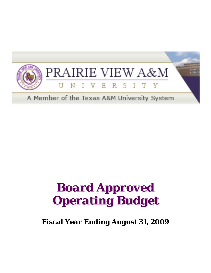

## *Board Approved Operating Budget*

*Fiscal Year Ending August 31, 2009*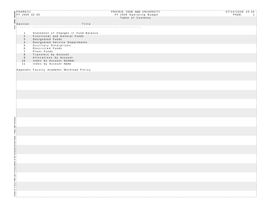| <b>@FDAR6711</b><br>$\frac{2}{8}$ FY 2009 CC 05            |                                                    | PRAIRIE VIEW A&M UNIVERSITY<br>FY 2009 Operating Budget<br>Table of Contents | $07/24/2008$ 20:35<br>PAGE:<br>$\blacksquare$ |
|------------------------------------------------------------|----------------------------------------------------|------------------------------------------------------------------------------|-----------------------------------------------|
| se<br>Section<br>District of the section                   | Title                                              |                                                                              |                                               |
|                                                            |                                                    |                                                                              |                                               |
| $\mathbf{1}$                                               | Statement of Changes in Fund Balance               |                                                                              |                                               |
| $2^{\circ}$                                                | Functional and General Funds                       |                                                                              |                                               |
| $\mathbf{3}$<br>$\overline{4}$                             | Designated Funds<br>Designated Service Departments |                                                                              |                                               |
| 5 <sup>5</sup>                                             | Auxiliary Enterprises                              |                                                                              |                                               |
| 6                                                          | Restricted Funds                                   |                                                                              |                                               |
| $\overline{7}$<br>$\boldsymbol{8}$                         | Plant Funds<br>Transfers by Account                |                                                                              |                                               |
| 9                                                          | Allocations by Account                             |                                                                              |                                               |
| 10<br>11                                                   | Index by Account Number<br>Index by Account Name   |                                                                              |                                               |
|                                                            |                                                    |                                                                              |                                               |
|                                                            | Appendix Faculty Academic Workload Policy          |                                                                              |                                               |
|                                                            |                                                    |                                                                              |                                               |
|                                                            |                                                    |                                                                              |                                               |
|                                                            |                                                    |                                                                              |                                               |
|                                                            |                                                    |                                                                              |                                               |
|                                                            |                                                    |                                                                              |                                               |
|                                                            |                                                    |                                                                              |                                               |
|                                                            |                                                    |                                                                              |                                               |
|                                                            |                                                    |                                                                              |                                               |
|                                                            |                                                    |                                                                              |                                               |
|                                                            |                                                    |                                                                              |                                               |
|                                                            |                                                    |                                                                              |                                               |
|                                                            |                                                    |                                                                              |                                               |
|                                                            |                                                    |                                                                              |                                               |
|                                                            |                                                    |                                                                              |                                               |
|                                                            |                                                    |                                                                              |                                               |
|                                                            |                                                    |                                                                              |                                               |
| em at the Computing Services Center / Texas A&M University |                                                    |                                                                              |                                               |
|                                                            |                                                    |                                                                              |                                               |
|                                                            |                                                    |                                                                              |                                               |
|                                                            |                                                    |                                                                              |                                               |
|                                                            |                                                    |                                                                              |                                               |
|                                                            |                                                    |                                                                              |                                               |
|                                                            |                                                    |                                                                              |                                               |
|                                                            |                                                    |                                                                              |                                               |
|                                                            |                                                    |                                                                              |                                               |
|                                                            |                                                    |                                                                              |                                               |
|                                                            |                                                    |                                                                              |                                               |
|                                                            |                                                    |                                                                              |                                               |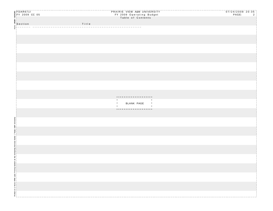| <b>SEFDAR6711</b><br>SEFY 2009 CC 05 |       | PRAIRIE VIEW A&M UNIVERSITY                | $07/24/2008$ 20:35   |
|--------------------------------------|-------|--------------------------------------------|----------------------|
|                                      |       | FY 2009 Operating Budget                   | PAGE:<br>$2^{\circ}$ |
|                                      |       | Table of Contents                          |                      |
|                                      |       |                                            |                      |
| ag<br>"Section<br>"E"--------        | Title |                                            |                      |
|                                      |       |                                            |                      |
|                                      |       |                                            |                      |
|                                      |       |                                            |                      |
|                                      |       |                                            |                      |
|                                      |       |                                            |                      |
|                                      |       |                                            |                      |
|                                      |       |                                            |                      |
|                                      |       |                                            |                      |
|                                      |       |                                            |                      |
|                                      |       |                                            |                      |
|                                      |       |                                            |                      |
|                                      |       |                                            |                      |
|                                      |       |                                            |                      |
|                                      |       |                                            |                      |
|                                      |       |                                            |                      |
|                                      |       |                                            |                      |
|                                      |       |                                            |                      |
|                                      |       |                                            |                      |
|                                      |       |                                            |                      |
|                                      |       |                                            |                      |
|                                      |       |                                            |                      |
|                                      |       |                                            |                      |
|                                      |       | BLANK PAGE<br>$\pmb{\ast}$<br>$\pmb{\ast}$ |                      |
|                                      |       |                                            |                      |
|                                      |       | * * * * * * * * * * * * * * * * *          |                      |
|                                      |       |                                            |                      |
|                                      |       |                                            |                      |
|                                      |       |                                            |                      |
|                                      |       |                                            |                      |
|                                      |       |                                            |                      |
|                                      |       |                                            |                      |
|                                      |       |                                            |                      |
|                                      |       |                                            |                      |
|                                      |       |                                            |                      |
|                                      |       |                                            |                      |
|                                      |       |                                            |                      |
|                                      |       |                                            |                      |
|                                      |       |                                            |                      |
|                                      |       |                                            |                      |
|                                      |       |                                            |                      |
|                                      |       |                                            |                      |
|                                      |       |                                            |                      |
|                                      |       |                                            |                      |
|                                      |       |                                            |                      |
|                                      |       |                                            |                      |
|                                      |       |                                            |                      |
|                                      |       |                                            |                      |
|                                      |       |                                            |                      |
|                                      |       |                                            |                      |
|                                      |       |                                            |                      |
|                                      |       |                                            |                      |